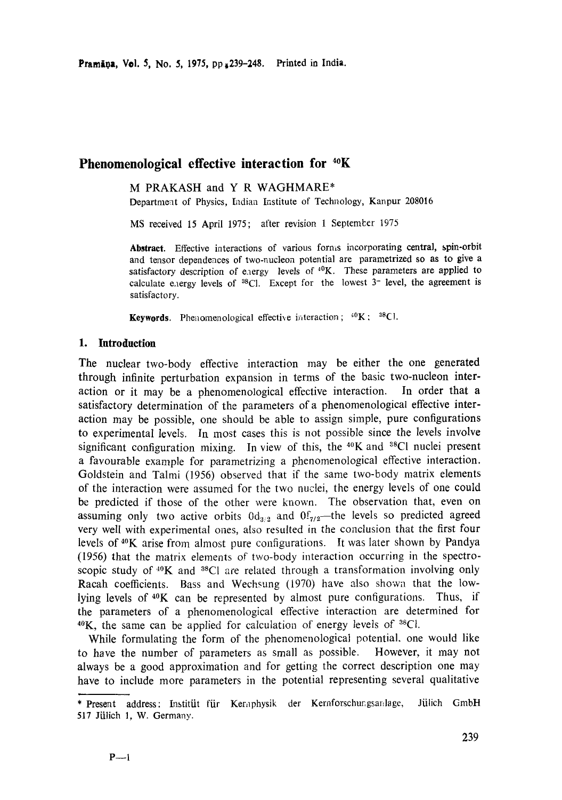# **Phenomenological effective interaction for 4°K**

M PRAKASH and Y R WAGHMARE\*

Department of Physics, [ndian Institute of Technology, Kanpur 208016

MS received 15 April 1975; after revision 1 Septemlcer 1975

**Abstract.** Effective interactions of various forms incorporating central, **spin-orbit**  and tensor dependences of two-nucleon potential are parametrized so as to give a satisfactory description of e.aergy levels of  ${}^{40}K$ . These parameters are applied to calculate energy levels of  ${}^{38}$ Cl. Except for the lowest  $3-$  level, the agreement is satisfactory.

**Keywords.** Phenomenological effective interaction;  ${}^{40}K$ ;  ${}^{88}Cl$ .

### **1. Introduction**

The nuclear two-body effective interaction may be either the one generated through infinite perturbation expansion in terms of the basic two-nucleon interaction or it may be a phenomenological effective interaction. In order that a satisfactory determination of the parameters of a phenomenological effective interaction may be possible, one should be able to assign simple, pure configurations to experimental levels. In most cases this is not possible since the levels involve significant configuration mixing. In view of this, the  $40K$  and  $38Cl$  nuclei present a favourable example for parametrizing a phenomenological effective interaction. Goldstein and Talmi (1956) observed that if the same two-body matrix elements of the interaction were assumed for the two nuclei, the energy levels of one could be predicted if those of the other were known. The observation that, even on assuming only two active orbits  $0d_{3/2}$  and  $0f_{7/2}$ —the levels so predicted agreed very well with experimental ones, also resulted in the conclusion that the first four levels of 4°K arise from almost pure configurations. It was later shown by Pandya (1956) that the matrix elements of two-body interaction occurring in the spectroscopic study of <sup>40</sup>K and <sup>38</sup>Cl are related through a transformation involving only Racah coefficients. Bass and Wechsung (1970) have also shown that the lowlying levels of  $40K$  can be represented by almost pure configurations. Thus, if the parameters of a phenomenological effective interaction are determined for  $40$ K, the same can be applied for calculation of energy levels of  ${}^{38}Cl$ .

While formulating the form of the phenomenological potential, one would like to have the number of parameters as small as possible. However, it may not always be a good approximation and for getting the correct description one may have to include more parameters in the potential representing several qualitative

<sup>\*</sup> Present address: Institüt für Kernphysik der Kernforschungsanlage, Jülich GmbH 517 Jülich 1, W. Germany.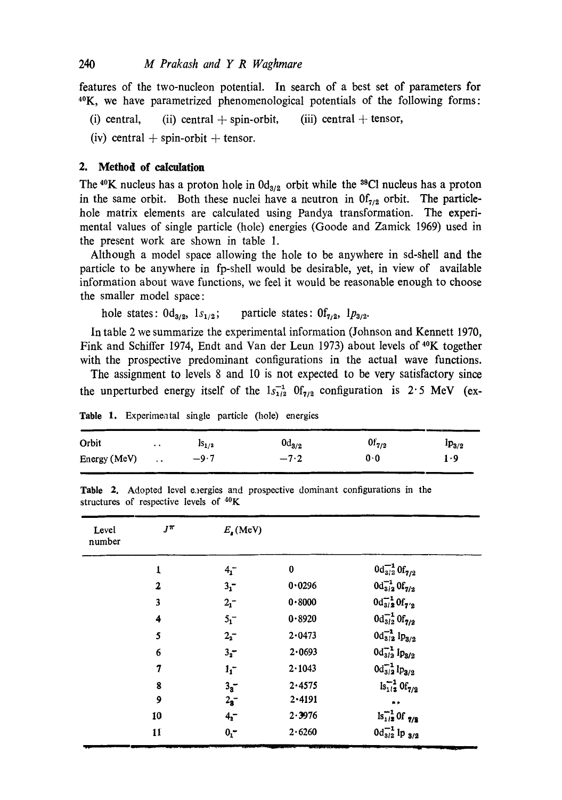features of the two-nucleon potential. In search of a best set of parameters for 4°K, we have parametrized phenomenological potentials of the following forms:

(i) central, (ii) central  $+$  spin-orbit, (iii) central  $+$  tensor,

(iv) central  $+$  spin-orbit  $+$  tensor.

#### **2. Method of calculation**

The <sup>40</sup>K nucleus has a proton hole in  $0d_{3/2}$  orbit while the <sup>38</sup>Cl nucleus has a proton in the same orbit. Both these nuclei have a neutron in  $0f_{7/2}$  orbit. The particlehole matrix elements are calculated using Pandya transformation. The experimental values of single particle (hole) energies (Goode and Zamick 1969) used in the present work are shown in table 1.

Although a model space allowing the hole to be anywhere in sd-shell and the particle to be anywhere in fp-shell would be desirable, yet, in view of available information about wave functions, we feel it would be reasonable enough to choose the smaller model space:

hole states:  $0d_{3/2}$ ,  $1s_{1/2}$ ; particle states:  $0f_{7/2}$ ,  $1p_{3/2}$ .

In table 2 we summarize the experimental information (Johnson and Kennett 1970, Fink and Schiffer 1974, Endt and Van der Leun 1973) about levels of <sup>40</sup>K together with the prospective predominant configurations in the actual wave functions.

The assignment to levels 8 and i0 is not expected to be very satisfactory since the unperturbed energy itself of the  $1s_{1/2}^{-1}$  Of<sub>7/2</sub> configuration is 2.5 MeV (ex-

| Orbit        | $\ddot{\phantom{0}}$ | $1S_{1/2}$ | $\rm{0d}_{3/2}$ | $0f_{7/2}$  | $1p_{3/2}$ |
|--------------|----------------------|------------|-----------------|-------------|------------|
| Energy (MeV) | $\sim$ $\sim$        | $-9.7$     | $-7.2$          | $0 \cdot 0$ | 1.9        |

Table 1. Experimental single particle (hole) energies

|  |                                                    |  |  | Table 2. Adopted level energies and prospective dominant configurations in the |  |
|--|----------------------------------------------------|--|--|--------------------------------------------------------------------------------|--|
|  | structures of respective levels of <sup>40</sup> K |  |  |                                                                                |  |

| Level<br>number | $J^{\pi}$      | $E_{\lambda}$ (MeV) |          |                                    |
|-----------------|----------------|---------------------|----------|------------------------------------|
|                 |                | 4 <sub>1</sub>      | $\bf{0}$ | $0d_{3/2}^{-1}$ Of <sub>7/2</sub>  |
|                 | $\overline{2}$ | 3 <sub>1</sub>      | 0.0296   | $0d_{3/2}^{-1}$ Of <sub>7/2</sub>  |
|                 | 3              | 2 <sub>1</sub>      | 0.8000   | $0d_{3/2}^{-1}0f_{7/2}$            |
|                 | 4              | 5 <sub>1</sub>      | 0.8920   | $0d_{3/2}^{-1}$ Of <sub>7/2</sub>  |
|                 | 5              | $2^{2}_{2}$         | 2.0473   | $0d_{3/2}^{-1}$ $lp_{3/2}$         |
|                 | 6              | 3 <sub>2</sub>      | 2.0693   | $0d_{3/2}^{-1}$ $lp_{3/2}$         |
|                 | 7              | 1 <sub>1</sub>      | 2.1043   | $0d_{3/2}^{-1}$ lp <sub>3/2</sub>  |
|                 | 8              | 3 <sub>3</sub>      | 2.4575   | $\lg_{1/2}^{-1}$ Of <sub>7/2</sub> |
|                 | 9              | 2 <sub>3</sub>      | 2.4191   | **                                 |
|                 | 10             | $4^{2}$             | 2.3976   | $\ln^{-1}_{1/2}$ Of $\frac{7}{2}$  |
|                 | 11             | 0 <sub>1</sub>      | 2.6260   | $0d_{3/2}^{-1}$ Ip $_{3/2}$        |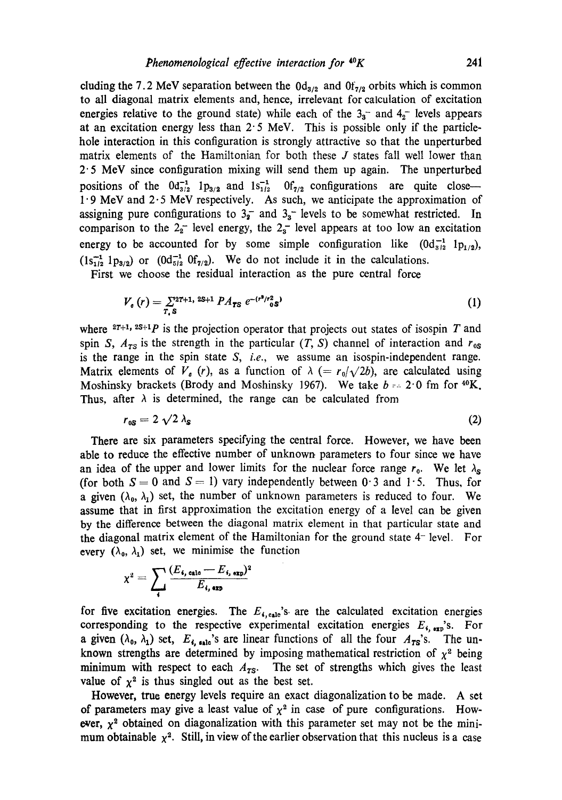cluding the 7.2 MeV separation between the  $0d_{3/2}$  and  $0f_{7/2}$  orbits which is common to all diagonal matrix elements and, hence, irrelevant for calculation of excitation energies relative to the ground state) while each of the  $3<sub>3</sub>$  and  $4<sub>2</sub>$  levels appears at an excitation energy less than  $2.5$  MeV. This is possible only if the particlehole interaction in this configuration is strongly attractive so that the unperturbed matrix elements of the Hamiltonian for both these J states fall well lower than 2" 5 MeV since configuration mixing will send them up again. The unperturbed positions of the  $0d_{3/2}^{-1}$  lp<sub>3/2</sub> and  $1s_{1/2}^{-1}$  0f<sub>7/2</sub> configurations are quite close--1.9 MeV and 2.5 MeV respectively. As such, we anticipate the approximation of assigning pure configurations to  $3\frac{1}{2}$  and  $3\frac{1}{2}$  levels to be somewhat restricted. In comparison to the  $2<sub>2</sub>$  level energy, the  $2<sub>3</sub>$  level appears at too low an excitation energy to be accounted for by some simple configuration like  $(0d_{8/2}^{-1} 1p_{1/2}),$  $(1s_{1/2}^{-1} 1p_{3/2})$  or  $(0d_{5/2}^{-1} 0f_{7/2})$ . We do not include it in the calculations.

First we choose the residual interaction as the pure central force

$$
V_{\sigma}(r) = \sum_{T, \mathbf{S}} 2^{2T+1, 2S+1} P A_{TS} e^{-(r^2/r_{\sigma}^2 \mathbf{S})}
$$
 (1)

where  $2T+1$ ,  $2S+1$  is the projection operator that projects out states of isospin T and spin *S*,  $A_{TS}$  is the strength in the particular (*T*, *S*) channel of interaction and  $r_{0s}$ is the range in the spin state *S, i.e.,* we assume an isospin-independent range. Matrix elements of  $V_a$  (r), as a function of  $\lambda$  (=  $r_0/\sqrt{2b}$ ), are calculated using Moshinsky brackets (Brody and Moshinsky 1967). We take  $b = 2.0$  fm for  $40K$ . Thus, after  $\lambda$  is determined, the range can be calculated from

$$
r_{\rm \scriptscriptstyle 0S} = 2 \sqrt{2} \lambda_{\rm \scriptscriptstyle S} \tag{2}
$$

There are six parameters specifying the central force. However, we have been able to reduce the effective number of unknown parameters to four since we have an idea of the upper and lower limits for the nuclear force range  $r_0$ . We let  $\lambda_s$ (for both  $S = 0$  and  $S = 1$ ) vary independently between 0.3 and 1.5. Thus, for a given  $(\lambda_0, \lambda_1)$  set, the number of unknown parameters is reduced to four. We assume that in first approximation the excitation energy of a level can be given by the difference between the diagonal matrix element in that particular state and the diagonal matrix element of the Hamiltonian for the ground state 4- level. For every  $(\lambda_0, \lambda_1)$  set, we minimise the function

$$
\chi^2 = \sum_i \frac{(E_{i,\text{ calo}} - E_{i,\text{ exp}})^2}{E_{i,\text{ exp}}}
$$

for five excitation energies. The  $E_{\epsilon, \text{calc}}$ 's are the calculated excitation energies corresponding to the respective experimental excitation energies  $E_{\rm s, exp}$ 's. For a given  $(\lambda_0, \lambda_1)$  set,  $E_{\lambda, \text{calc}}$ 's are linear functions of all the four  $A_{TS}$ 's. The unknown strengths are determined by imposing mathematical restriction of  $\chi^2$  being minimum with respect to each  $A_{TS}$ . The set of strengths which gives the least value of  $\chi^2$  is thus singled out as the best set.

However, truc energy levels require an exact diagonalization to be made. A set of parameters may give a least value of  $\chi^2$  in case of pure configurations. However,  $\chi^2$  obtained on diagonalization with this parameter set may not be the minimum obtainable  $x^2$ . Still, in view of the earlier observation that this nucleus is a case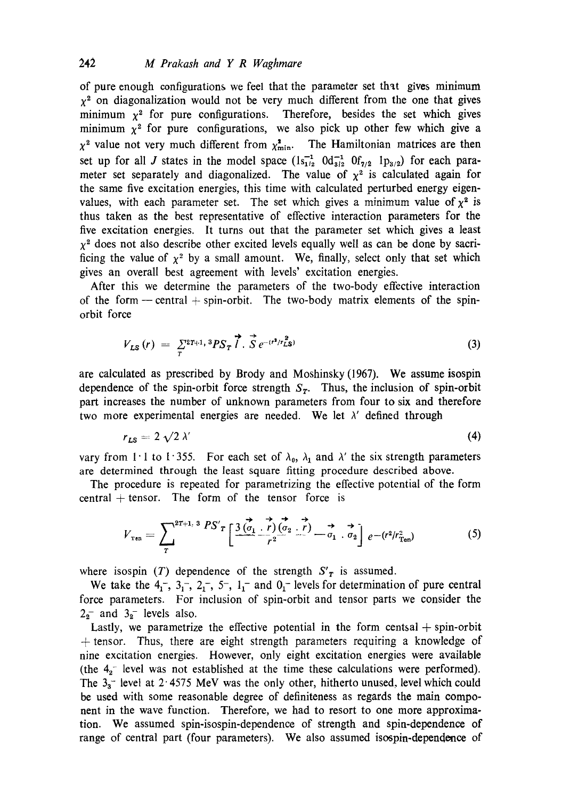of pure enough configurations we feel that the parameter set that gives minimum  $x^2$  on diagonalization would not be very much different from the one that gives minimum  $x^2$  for pure configurations. Therefore, besides the set which gives minimum  $x^2$  for pure configurations, we also pick up other few which give a  $\chi^2$  value not very much different from  $\chi^2_{\text{min}}$ . The Hamiltonian matrices are then set up for all J states in the model space  $(1s_{1/2}^{-1} \t Od_{3/2}^{-1} \t D_{7/2} \t Ip_{3/2})$  for each parameter set separately and diagonalized. The value of  $\chi^2$  is calculated again for the same five excitation energies, this time with calculated perturbed energy eigenvalues, with each parameter set. The set which gives a minimum value of  $\chi^2$  is thus taken as the best representative of effective interaction parameters for the five excitation energies. It turns out that the parameter set which gives a least  $x^2$  does not also describe other excited levels equally well as can be done by sacrificing the value of  $x^2$  by a small amount. We, finally, select only that set which gives an overall best agreement with levels' excitation energies.

After this we determine the parameters of the two-body effective interaction of the form — central  $+$  spin-orbit. The two-body matrix elements of the spinorbit force

$$
V_{LS}(r) = \sum_{T}^{2T+1} \, {}^3PS_T \, \vec{l} \cdot \vec{S} \, e^{-(r^2/r_{LS}^2)} \tag{3}
$$

are calculated as prescribed by Brody and Moshinsky (1967). We assume isospin dependence of the spin-orbit force strength  $S_T$ . Thus, the inclusion of spin-orbit part increases the number of unknown parameters from four to six and therefore two more experimental energies are needed. We let  $\lambda'$  defined through

$$
r_{LS} = 2 \sqrt{2} \lambda' \tag{4}
$$

vary from 1.1 to 1.355. For each set of  $\lambda_0$ ,  $\lambda_1$  and  $\lambda'$  the six strength parameters are determined through the least square fitting procedure described above.

The procedure is repeated for parametrizing the effective potential of the form central  $+$  tensor. The form of the tensor force is

$$
V_{\text{ren}} = \sum_{T}^{2T+1.3} \frac{PS'}{T} \left[ \frac{3 \overrightarrow{(a_1} \cdot \overrightarrow{r})(a_2 \cdot \overrightarrow{r})}{r^2} - \overrightarrow{a_1} \cdot \overrightarrow{a_2} \right] e^{-(r^2/r_{\text{Ten}}^2)} \tag{5}
$$

where isospin (T) dependence of the strength  $S'_T$  is assumed.

We take the  $4, 3, -2, 2, -5, 1, -1$  and  $0, -1$  levels for determination of pure central force parameters. For inclusion of spin-orbit and tensor parts we consider the  $2<sub>2</sub>$  and  $3<sub>2</sub>$  levels also.

Lastly, we parametrize the effective potential in the form centsal  $+$  spin-orbit  $+$  tensor. Thus, there are eight strength parameters requiring a knowledge of nine excitation energies. However, only eight excitation energies were available (the  $4<sub>2</sub>$  level was not established at the time these calculations were performed). The  $3<sub>3</sub>$  level at 2.4575 MeV was the only other, hitherto unused, level which could be used with some reasonable degree of definiteness as regards the main component in the wave function. Therefore, we had to resort to one more approximation. We assumed spin-isospin-dependence of strength and spin-dependence of range of central part (four parameters). We also assumed isospin-dependence of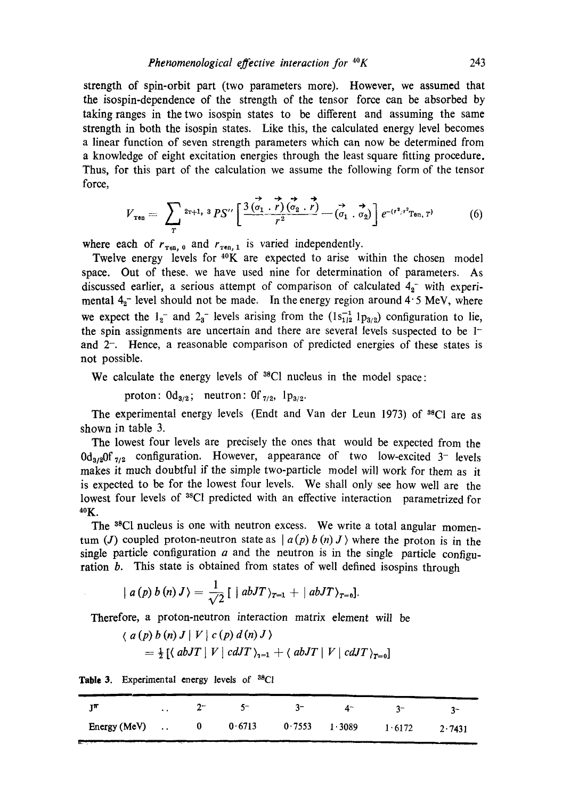strength of spin-orbit part (two parameters more). However, we assumed that the isospin-dependence of the strength of the tensor force can be absorbed by taking ranges in the two isospin states to be different and assuming the same strength in both the isospin states. Like this, the calculated energy level becomes a linear function of seven strength parameters which can now be determined from a knowledge of eight excitation energies through the least square fitting procedure. Thus, for this part of the calculation we assume the following form of the tensor force,

$$
V_{\text{ren}} = \sum_{T} {}^{2r+1} {}^{3} P S'' \left[ \frac{3 \overrightarrow{(a_1 \cdot r)} \overrightarrow{(a_2 \cdot r)}}{r^2} - \overrightarrow{(a_1 \cdot a_2)} \right] e^{-(r^2/r^2 T_{\text{en},T})} \qquad (6)
$$

where each of  $r_{\text{ten, 0}}$  and  $r_{\text{ren, 1}}$  is varied independently.

Twelve energy levels for  $40K$  are expected to arise within the chosen model space. Out of these, we have used nine for determination of parameters. As discussed earlier, a serious attempt of comparison of calculated  $4<sub>2</sub>^-$  with experimental  $4<sub>o</sub>$  level should not be made. In the energy region around  $4.5$  MeV, where we expect the  $1_2^-$  and  $2_3^-$  levels arising from the  $(1s_{1/2}^{-1} 1p_{3/2})$  configuration to lie, the spin assignments are uncertain and there are several levels suspected to be 1 and 2-. Hence, a reasonable comparison of predicted energies of these states is not possible.

We calculate the energy levels of  $^{38}$ Cl nucleus in the model space:

proton:  $0d_{3/2}$ ; neutron:  $0f_{7/2}$ ,  $1p_{3/2}$ .

The experimental energy levels (Endt and Van der Leun 1973) of  $^{88}$ Cl are as shown in table 3.

The lowest four levels are precisely the ones that would be expected from the  $0d_{3/2}$  configuration. However, appearance of two low-excited 3-levels makes it much doubtful if the simple two-particle model will work for them as it is expected to be for the lowest four levels. We shall only see how well are the lowest four levels of <sup>38</sup>Cl predicted with an effective interaction parametrized for  $40K$ .

The <sup>38</sup>Cl nucleus is one with neutron excess. We write a total angular momentum (J) coupled proton-neutron state as  $| a(p) b(n) J \rangle$  where the proton is in the single particle configuration  $a$  and the neutron is in the single particle configuration b. This state is obtained from states of well defined isospins through

$$
| a(p) b(n) J \rangle = \frac{1}{\sqrt{2}} [ | abJT \rangle_{T=1} + | abJT \rangle_{T=0}].
$$

Therefore, a proton-neutron interaction matrix element will be

$$
\langle a(p) b(n) J | V | c(p) d(n) J \rangle
$$
  
=  $\frac{1}{2} [ \langle abJI | V | c dJI \rangle_{1=1} + \langle abJI | V | c dJI \rangle_{T=0} ]$ 

Table 3. Experimental energy levels of <sup>38</sup>Cl

| and the company of the company                     |  |  |  |  |
|----------------------------------------------------|--|--|--|--|
| Energy (MeV)  0 0.6713 0.7553 1.3089 1.6172 2.7431 |  |  |  |  |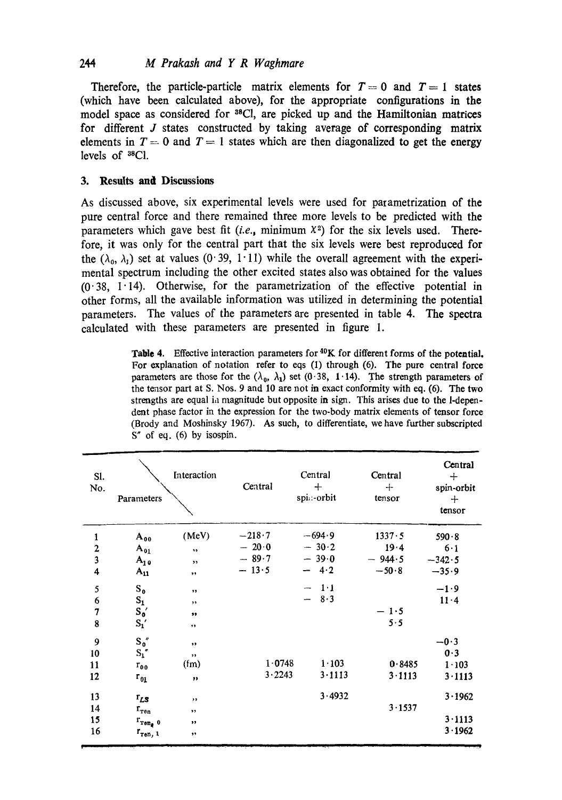## *244 M Prakash and Y R Waghmare*

Therefore, the particle-particle matrix elements for  $T=0$  and  $T=1$  states (which have been calculated above), for the appropriate configurations in the model space as considered for <sup>38</sup>Cl, are picked up and the Hamiltonian matrices for different J states constructed by taking average of corresponding matrix elements in  $T=0$  and  $T=1$  states which are then diagonalized to get the energy levels of 3sC1.

### **3. Results and Discussions**

As discussed above, six experimental levels were used for parametrization of the pure central force and there remained three more levels to be predicted with the parameters which gave best fit *(i.e., minimum*  $X^2$ *)* for the six levels used. Therefore, it was only for the central part that the six levels were best reproduced for the ( $\lambda_0$ ,  $\lambda_1$ ) set at values (0.39, 1.11) while the overall agreement with the experimental spectrum including the other excited states also was obtained for the values  $(0.38, 1.14)$ . Otherwise, for the parametrization of the effective potential in other forms, all the available information was utilized in determining the potential parameters. The values of the parameters are presented in table 4. The spectra calculated with these parameters are presented in figure 1.

Table 4. Effective interaction parameters for <sup>40</sup>K for different forms of the potential, For explanation of notation refer to eqs (I) through (6). The pure central force parameters are those for the  $(\lambda_0, \lambda_1)$  set (0.38, 1.14). The strength parameters of the tensor part at S. Nos. 9 and 10 are not in exact conformity with eq. (6). The two strengths are equal ia magnitude but opposite in sign. This arises due to the l-dependent phase factor in the expression for the two-body matrix elements of tensor force (Brody and Moshinsky 1967). As such, to differentiate, we have further subscripted  $S''$  of eq. (6) by isospin.

| SI.<br>No.              | Parameters                | Interaction          | Central    | Central<br>$^{+}$<br>spi. - orbit           | Central<br>$+$<br>tensor | Central<br>$+$<br>spin-orbit<br>$+$<br>tensor |
|-------------------------|---------------------------|----------------------|------------|---------------------------------------------|--------------------------|-----------------------------------------------|
| $\mathbf{1}$            | $A_{00}$                  | (MeV)                | $-218.7$   | $-694.9$                                    | 1337.5                   | 590.8                                         |
| $\overline{\mathbf{c}}$ | $A_{01}$                  | $\ddot{\phantom{1}}$ | $-20.0$    | $-30.2$                                     | 19.4                     | 6.1                                           |
| $\overline{\mathbf{3}}$ | $A_{10}$                  | $, \,$               | $-89.7$    | $-39.0$                                     | $-944.5$                 | $-342.5$                                      |
| $\overline{\mathbf{4}}$ | $A_{11}$                  | ,,                   | $-13.5$    | $-4.2$                                      | $-50.8$                  | $-35.9$                                       |
| 5                       | $S_0$                     | , ,                  |            | $1 \cdot 1$<br>$\overbrace{\qquad \qquad }$ |                          | $-1.9$                                        |
| 6                       | $S_1$                     | $, \,$               |            | 8.3                                         |                          | 11.4                                          |
| $\overline{7}$          | $S_0'$                    | $\bullet\bullet$     |            |                                             | $-1.5$                   |                                               |
| 8                       | $S_1'$                    | ,,                   |            |                                             | 5.5                      |                                               |
| 9                       | $S_0''$                   | $\bullet\bullet$     |            |                                             |                          | $-0.3$                                        |
| 10                      | $S_1$ "                   | $, \,$               |            |                                             |                          | 0.3                                           |
| 11                      | $r_{00}$                  | $(f_m)$              | $1 - 0748$ | $1 - 103$                                   | 0.8485                   | $1 - 103$                                     |
| 12                      | $r_{01}$                  | $\pmb{\cdots}$       | 3.2243     | 3.1113                                      | 3.1113                   | 3.1113                                        |
| 13                      | $r_{LS}$                  | ,,                   |            | 3.4932                                      |                          | 3.1962                                        |
| 14                      | $r_{ren}$                 | $, \,$               |            |                                             | 3.1537                   |                                               |
| 15                      | $r_{\texttt{ron}_\ell}$ o | ,,                   |            |                                             |                          | 3.1113                                        |
| 16                      | $r_{\text{ren, 1}}$       | $\bullet\bullet$     |            |                                             |                          | 3.1962                                        |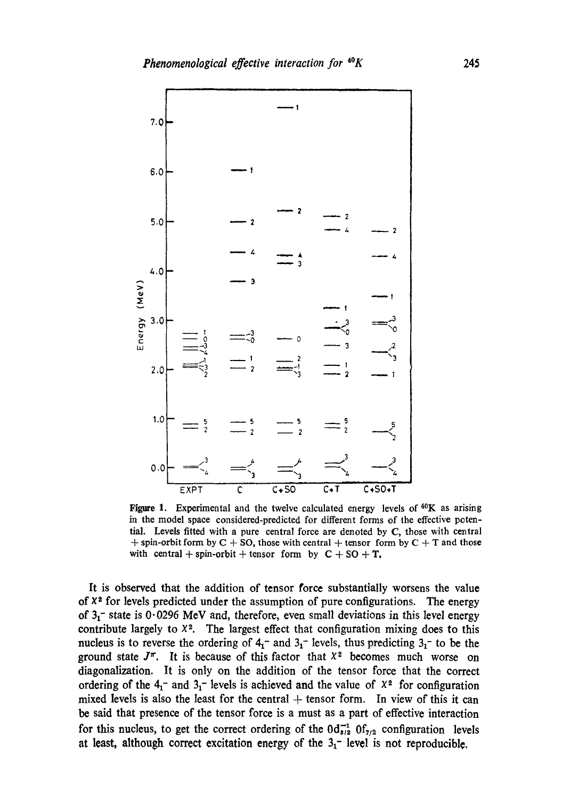

Figure 1. Experimental and the twelve calculated energy levels of  $40K$  as arising in the model space considered-predicted for different forms of the effective potential. Levels fitted with a pure central force are denoted by C, those with central  $+$  spin-orbit form by C + SO, those with central  $+$  tensor form by C + T and those with central + spin-orbit + tensor form by  $C + SO + T$ .

It is observed that the addition of tensor force substantially worsens the value of  $X<sup>2</sup>$  for levels predicted under the assumption of pure configurations. The energy of  $3<sub>1</sub>$  state is 0.0296 MeV and, therefore, even small deviations in this level energy contribute largely to  $X^2$ . The largest effect that configuration mixing does to this nucleus is to reverse the ordering of  $4<sub>1</sub>$  and  $3<sub>1</sub>$  levels, thus predicting  $3<sub>1</sub>$  to be the ground state  $J^{\pi}$ . It is because of this factor that  $X^2$  becomes much worse on diagonalization. It is only on the addition of the tensor force that the correct ordering of the  $4<sub>1</sub>$  and  $3<sub>1</sub>$  levels is achieved and the value of  $x<sup>2</sup>$  for configuration mixed levels is also the least for the central  $+$  tensor form. In view of this it can be said that presence of the tensor force is a must as a part of effective interaction for this nucleus, to get the correct ordering of the  $0d_{s/2}^{-1}$   $0f_{7/2}$  configuration levels at least, although correct excitation energy of the  $3<sub>1</sub>$  level is not reproducible.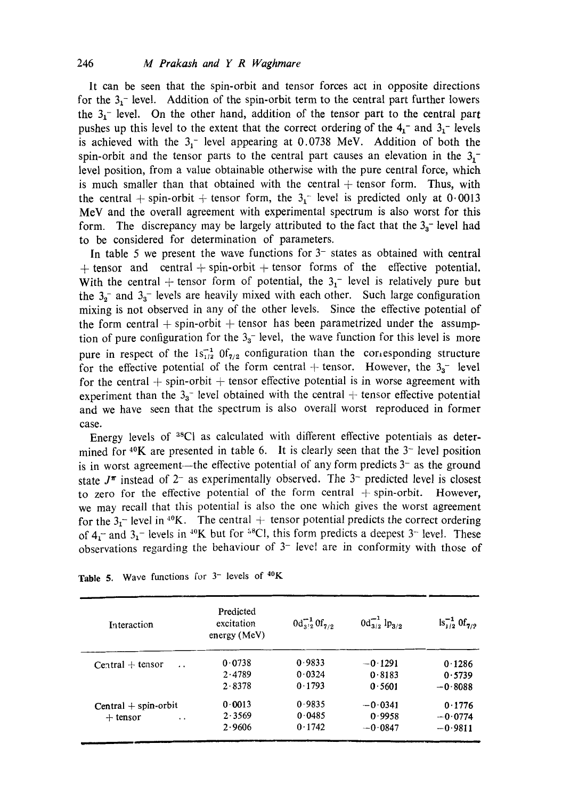It can be seen that the spin-orbit and tensor forces act in opposite directions for the  $3<sub>1</sub>$ - level. Addition of the spin-orbit term to the central part further lowers the  $3<sub>1</sub>$ - level. On the other hand, addition of the tensor part to the central part pushes up this level to the extent that the correct ordering of the  $4<sub>1</sub>-$  and  $3<sub>1</sub>-$  levels is achieved with the  $3<sub>1</sub>$  level appearing at 0.0738 MeV. Addition of both the spin-orbit and the tensor parts to the central part causes an elevation in the  $3<sub>1</sub>$ level position, from a value obtainable otherwise with the pure central force, which is much smaller than that obtained with the central  $+$  tensor form. Thus, with the central + spin-orbit + tensor form, the  $3<sub>1</sub>^-$  level is predicted only at 0.0013 MeV and the overall agreement with experimental spectrum is also worst for this form. The discrepancy may be largely attributed to the fact that the  $3<sub>3</sub>$  level had to be considered for determination of parameters.

In table 5 we present the wave functions for  $3$ <sup>-</sup> states as obtained with central  $+$  tensor and central  $+$  spin-orbit  $+$  tensor forms of the effective potential. With the central + tensor form of potential, the  $3<sub>1</sub>$  level is relatively pure but the  $3<sub>2</sub>$  and  $3<sub>3</sub>$  levels are heavily mixed with each other. Such large configuration mixing is not observed in any of the other levels. Since the effective potential of the form central  $+$  spin-orbit  $+$  tensor has been parametrized under the assumption of pure configuration for the  $3<sub>3</sub>$  level, the wave function for this level is more pure in respect of the  $1s_{1/2}^{-1}$   $0f_{7/2}$  configuration than the corresponding structure for the effective potential of the form central + tensor. However, the  $3<sub>3</sub>$  level for the central  $+$  spin-orbit  $+$  tensor effective potential is in worse agreement with experiment than the  $3<sub>a</sub>$  level obtained with the central  $+$  tensor effective potential and we have seen that the spectrum is also overall worst reproduced in former case.

Energy levels of 3sCl as calculated with different effective potentials as determined for  $40K$  are presented in table 6. It is clearly seen that the  $3-$  level position is in worst agreement—the effective potential of any form predicts  $3-$  as the ground state  $J^{\pi}$  instead of  $2^-$  as experimentally observed. The  $3^-$  predicted level is closest to zero for the effective potential of the form central  $+$  spin-orbit. However, we may recall that this potential is also the one which gives the worst agreement for the  $3<sub>1</sub>$ - level in <sup>40</sup>K. The central + tensor potential predicts the correct ordering of  $4<sub>1</sub>$  and  $3<sub>1</sub>$  levels in <sup>40</sup>K but for <sup>58</sup>Cl, this form predicts a deepest 3<sup>-</sup> level. These observations regarding the behaviour of  $3$ - level are in conformity with those of

| Interaction                                | Predicted<br>excitation<br>energy(MeV) | $0d_{3/2}^{-1}$ Of <sub>7/2</sub> | $0d_{3/2}^{-1}$ lp <sub>3/2</sub> | $\ln^{-1}_{1/2} 0f_{7/2}$ |
|--------------------------------------------|----------------------------------------|-----------------------------------|-----------------------------------|---------------------------|
| $Central + tensor$<br>$\ddot{\phantom{0}}$ | 0.0738                                 | 0.9833                            | $-0.1291$                         | 0.1286                    |
|                                            | 2.4789                                 | 0.0324                            | 0.8183                            | 0.5739                    |
|                                            | 2.8378                                 | 0.1793                            | 0.5601                            | $-0.8088$                 |
| $Central + spin-orbit$                     | 0.0013                                 | 0.9835                            | $-0.0341$                         | 0.1776                    |
| $+$ tensor<br>$\ddot{\phantom{a}}$         | 2.3569                                 | 0.0485                            | 0.9958                            | $-0.0774$                 |
|                                            | 2.9606                                 | 0.1742                            | $-0.0847$                         | $-0.9811$                 |

| Table 5. Wave functions for $3-$ levels of $40K$ |  |  |
|--------------------------------------------------|--|--|
|--------------------------------------------------|--|--|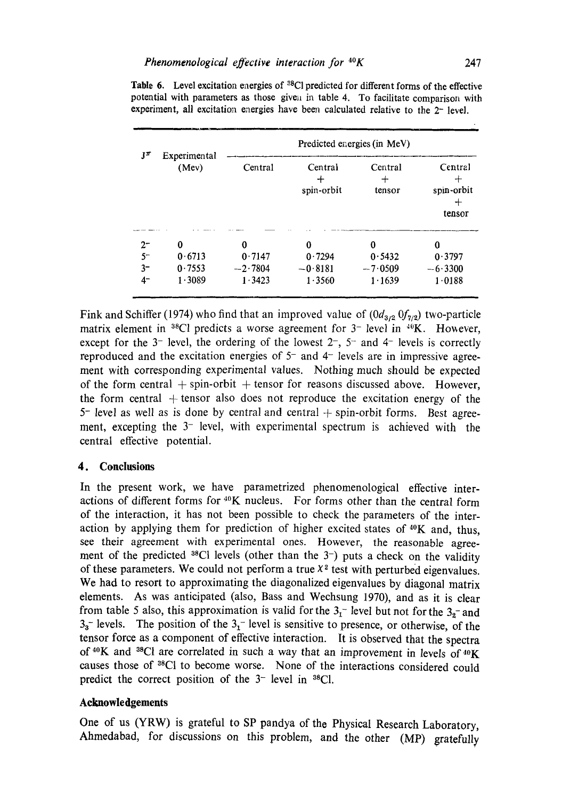|           |                       | Predicted energies (in MeV) |                       |                   |                                           |  |
|-----------|-----------------------|-----------------------------|-----------------------|-------------------|-------------------------------------------|--|
| $J^{\pi}$ | Experimental<br>(Mev) | Central                     | Central<br>spin-orbit | Central<br>tensor | Central<br>┿<br>spin-orbit<br>┿<br>tensor |  |
| $2-$      | 0                     | 0                           | 0                     | 0                 | 0                                         |  |
| $5-$      | 0.6713                | 0.7147                      | 0.7294                | 0.5432            | 0.3797                                    |  |
| $3-$      | 0.7553                | $-2.7804$                   | $-0.8181$             | $-7.0509$         | $-6.3300$                                 |  |
| 4-        | 1.3089                | 1.3423                      | 1.3560                | 1.1639            | 1.0188                                    |  |

Table 6. Level excitation energies of <sup>38</sup>Cl predicted for different forms of the effective potential with parameters as those given in table 4. To facilitate comparison with experiment, all excitation energies have been calculated relative to the 2- level.

Fink and Schiffer (1974) who find that an improved value of  $(0d_{3/2} 0f_{7/2})$  two-particle matrix element in <sup>38</sup>Cl predicts a worse agreement for 3<sup>-</sup> level in <sup>40</sup>K. However, except for the 3- level, the ordering of the lowest  $2^-, 5^-$  and  $4^-$  levels is correctly reproduced and the excitation energies of  $5<sup>-</sup>$  and  $4<sup>-</sup>$  levels are in impressive agreement with corresponding experimental values. Nothing much should be expected of the form central  $+$  spin-orbit  $+$  tensor for reasons discussed above. However, the form central  $+$  tensor also does not reproduce the excitation energy of the  $5$ <sup>-</sup> level as well as is done by central and central  $+$  spin-orbit forms. Best agreement, excepting the  $3$ <sup>-</sup> level, with experimental spectrum is achieved with the central effective potential.

#### **4. Conclusions**

In the present work, we have parametrized phenomenological effective interactions of different forms for  $40K$  nucleus. For forms other than the central form of the interaction, it has not been possible to check the parameters of the interaction by applying them for prediction of higher excited states of  $40K$  and, thus, see their agreement with experimental ones. However, the reasonable agreement of the predicted  $38C1$  levels (other than the 3-) puts a check on the validity of these parameters. We could not perform a true  $X<sup>2</sup>$  test with perturbed eigenvalues. We had to resort to approximating the diagonalized eigenvalues by diagonal matrix elements. As was anticipated (also, Bass and Wechsung 1970), and as it is clear from table 5 also, this approximation is valid for the  $3<sub>1</sub>$  level but not for the  $3<sub>2</sub>$  and  $3<sub>3</sub>$  levels. The position of the  $3<sub>1</sub>$  level is sensitive to presence, or otherwise, of the tensor force as a component of effective interaction. It is observed that the spectra of  $40K$  and  $38Cl$  are correlated in such a way that an improvement in levels of  $40K$ causes those of 38C1 to become worse. None of the interactions considered could predict the correct position of the  $3$ <sup>-</sup> level in  $3$ <sup>8</sup>Cl.

#### **Acknowledgements**

One of us (YRW) is grateful to SP pandya of the Physical Research Laboratory, Ahmedabad, for discussions on this problem, and the other (MP) gratefully